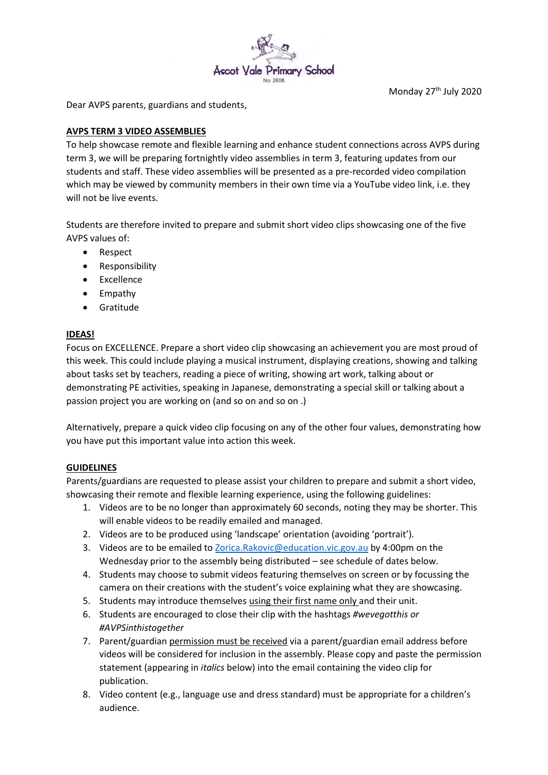

Monday 27<sup>th</sup> July 2020

Dear AVPS parents, guardians and students,

# **AVPS TERM 3 VIDEO ASSEMBLIES**

To help showcase remote and flexible learning and enhance student connections across AVPS during term 3, we will be preparing fortnightly video assemblies in term 3, featuring updates from our students and staff. These video assemblies will be presented as a pre-recorded video compilation which may be viewed by community members in their own time via a YouTube video link, i.e. they will not be live events.

Students are therefore invited to prepare and submit short video clips showcasing one of the five AVPS values of:

- Respect
- Responsibility
- Excellence
- Empathy
- **•** Gratitude

# **IDEAS!**

Focus on EXCELLENCE. Prepare a short video clip showcasing an achievement you are most proud of this week. This could include playing a musical instrument, displaying creations, showing and talking about tasks set by teachers, reading a piece of writing, showing art work, talking about or demonstrating PE activities, speaking in Japanese, demonstrating a special skill or talking about a passion project you are working on (and so on and so on .)

Alternatively, prepare a quick video clip focusing on any of the other four values, demonstrating how you have put this important value into action this week.

# **GUIDELINES**

Parents/guardians are requested to please assist your children to prepare and submit a short video, showcasing their remote and flexible learning experience, using the following guidelines:

- 1. Videos are to be no longer than approximately 60 seconds, noting they may be shorter. This will enable videos to be readily emailed and managed.
- 2. Videos are to be produced using 'landscape' orientation (avoiding 'portrait').
- 3. Videos are to be emailed t[o Zorica.Rakovic@education.vic.gov.au](mailto:Zorica.Rakovic@education.vic.gov.au) by 4:00pm on the Wednesday prior to the assembly being distributed – see schedule of dates below.
- 4. Students may choose to submit videos featuring themselves on screen or by focussing the camera on their creations with the student's voice explaining what they are showcasing.
- 5. Students may introduce themselves using their first name only and their unit.
- 6. Students are encouraged to close their clip with the hashtags *#wevegotthis or #AVPSinthistogether*
- 7. Parent/guardian permission must be received via a parent/guardian email address before videos will be considered for inclusion in the assembly. Please copy and paste the permission statement (appearing in *italics* below) into the email containing the video clip for publication.
- 8. Video content (e.g., language use and dress standard) must be appropriate for a children's audience.